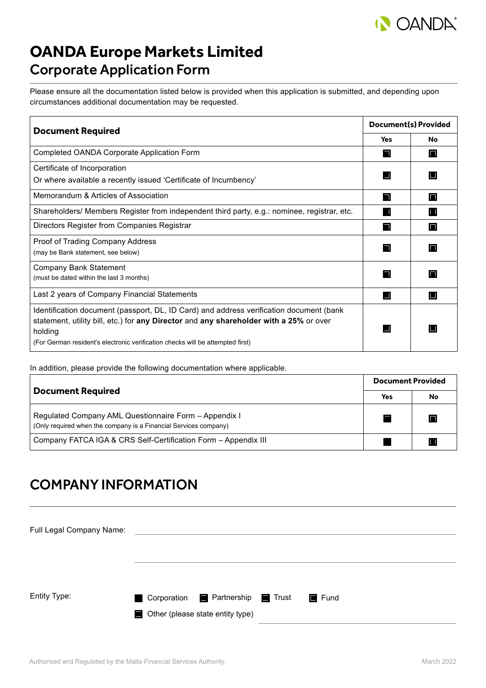

# **OANDA Europe Markets Limited** Corporate Application Form

Please ensure all the documentation listed below is provided when this application is submitted, and depending upon circumstances additional documentation may be requested.

| <b>Document Required</b>                                                                    |            | <b>Document(s) Provided</b> |  |
|---------------------------------------------------------------------------------------------|------------|-----------------------------|--|
|                                                                                             | <b>Yes</b> | <b>No</b>                   |  |
| Completed OANDA Corporate Application Form                                                  |            |                             |  |
| Certificate of Incorporation                                                                |            |                             |  |
| Or where available a recently issued 'Certificate of Incumbency'                            |            |                             |  |
| Memorandum & Articles of Association                                                        |            |                             |  |
| Shareholders/ Members Register from independent third party, e.g.: nominee, registrar, etc. |            |                             |  |
| Directors Register from Companies Registrar                                                 |            |                             |  |
| Proof of Trading Company Address                                                            |            |                             |  |
| (may be Bank statement, see below)                                                          |            |                             |  |
| <b>Company Bank Statement</b>                                                               |            |                             |  |
| (must be dated within the last 3 months)                                                    |            |                             |  |
| Last 2 years of Company Financial Statements                                                |            |                             |  |
| Identification document (passport, DL, ID Card) and address verification document (bank     |            |                             |  |
| statement, utility bill, etc.) for any Director and any shareholder with a 25% or over      |            |                             |  |
| holding<br>(For German resident's electronic verification checks will be attempted first)   |            |                             |  |
|                                                                                             |            |                             |  |

In addition, please provide the following documentation where applicable.

| <b>Document Required</b>                                                                                                  |  | <b>Document Provided</b> |  |
|---------------------------------------------------------------------------------------------------------------------------|--|--------------------------|--|
|                                                                                                                           |  | No                       |  |
| Regulated Company AML Questionnaire Form - Appendix I<br>(Only required when the company is a Financial Services company) |  |                          |  |
| Company FATCA IGA & CRS Self-Certification Form - Appendix III                                                            |  |                          |  |

# COMPANY INFORMATION

| Full Legal Company Name: |                                                                                                     |
|--------------------------|-----------------------------------------------------------------------------------------------------|
| Entity Type:             | Corporation <b>Partnership</b> Trust <b>Product</b> Fund<br>$\Box$ Other (please state entity type) |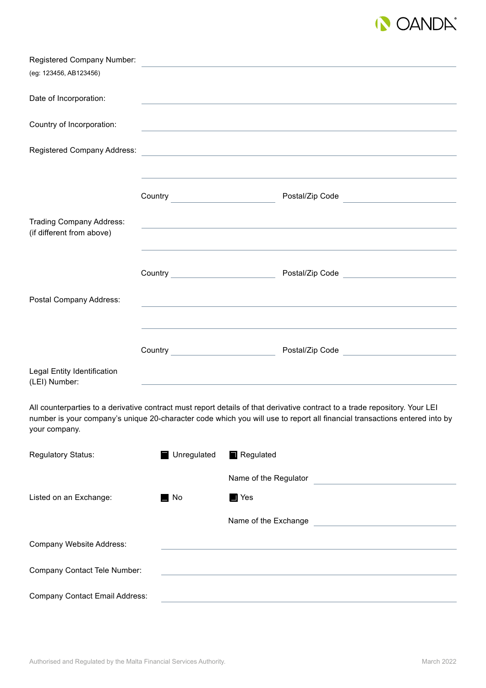

|                                                       |             | Registered Company Number:<br><b>Example 2018</b> Number: <b>Example 2018</b> Number: <b>Example 2018</b> Number: <b>Example 2018</b> Number: <b>Example 2018</b> Number: <b>Example 2018</b> Number: <b>Example 2018</b> Number: <b>Example 2018</b> Number: <b>E</b> |
|-------------------------------------------------------|-------------|------------------------------------------------------------------------------------------------------------------------------------------------------------------------------------------------------------------------------------------------------------------------|
| (eg: 123456, AB123456)                                |             |                                                                                                                                                                                                                                                                        |
| Date of Incorporation:                                |             |                                                                                                                                                                                                                                                                        |
|                                                       |             |                                                                                                                                                                                                                                                                        |
| Country of Incorporation:                             |             | and the control of the control of the control of the control of the control of the control of the control of the                                                                                                                                                       |
|                                                       |             |                                                                                                                                                                                                                                                                        |
|                                                       |             | <u> 1989 - Johann Stoff, amerikansk politiker (* 1908)</u>                                                                                                                                                                                                             |
|                                                       |             |                                                                                                                                                                                                                                                                        |
| Trading Company Address:<br>(if different from above) |             | ,我们也不会有什么。""我们的人,我们也不会有什么?""我们的人,我们也不会有什么?""我们的人,我们也不会有什么?""我们的人,我们也不会有什么?""我们的人                                                                                                                                                                                       |
|                                                       |             | <u> 1989 - Johann Stoff, amerikansk politiker (* 1908)</u>                                                                                                                                                                                                             |
|                                                       |             | Country Country Country Country Country Country Country Country Country Country Country Country Country Country                                                                                                                                                        |
|                                                       |             |                                                                                                                                                                                                                                                                        |
| Postal Company Address:                               |             | and the control of the control of the control of the control of the control of the control of the control of the                                                                                                                                                       |
|                                                       |             | <u> 1989 - Johann Stoff, amerikansk politiker (* 1908)</u>                                                                                                                                                                                                             |
|                                                       |             | Country Country Postal/Zip Code                                                                                                                                                                                                                                        |
| Legal Entity Identification<br>(LEI) Number:          |             | <u> 1989 - Johann Harry Harry Harry Harry Harry Harry Harry Harry Harry Harry Harry Harry Harry Harry Harry Harry</u>                                                                                                                                                  |
|                                                       |             |                                                                                                                                                                                                                                                                        |
| your company.                                         |             | All counterparties to a derivative contract must report details of that derivative contract to a trade repository. Your LEI<br>number is your company's unique 20-character code which you will use to report all financial transactions entered into by               |
| Regulatory Status:                                    | Unregulated | Regulated                                                                                                                                                                                                                                                              |
|                                                       |             | Name of the Regulator<br><u> 1980 - Jan Stein Stein Stein Stein Stein Stein Stein Stein Stein Stein Stein Stein Stein Stein Stein Stein S</u>                                                                                                                          |
| Listed on an Exchange:                                | No          | ■ Yes                                                                                                                                                                                                                                                                  |
|                                                       |             | Name of the Exchange <b>Example 2018</b>                                                                                                                                                                                                                               |
| Company Website Address:                              |             | and the control of the control of the control of the control of the control of the control of the control of the                                                                                                                                                       |
|                                                       |             |                                                                                                                                                                                                                                                                        |
| Company Contact Tele Number:                          |             |                                                                                                                                                                                                                                                                        |
| <b>Company Contact Email Address:</b>                 |             |                                                                                                                                                                                                                                                                        |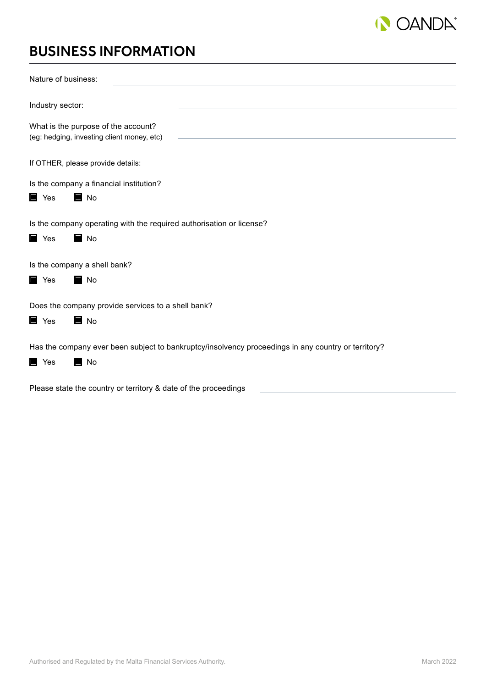

# BUSINESS INFORMATION

| Nature of business:                                                                                             |
|-----------------------------------------------------------------------------------------------------------------|
| $ \mathbf{\tau} $<br>Industry sector:                                                                           |
| What is the purpose of the account?<br>(eg: hedging, investing client money, etc)                               |
| If OTHER, please provide details:                                                                               |
| Is the company a financial institution?<br>$\blacksquare$ Yes<br>$\blacksquare$ No                              |
| Is the company operating with the required authorisation or license?<br>$\blacksquare$ No<br>$\blacksquare$ Yes |
| Is the company a shell bank?                                                                                    |
| $\blacksquare$ No<br>$\blacksquare$ Yes                                                                         |
| Does the company provide services to a shell bank?                                                              |
| $\blacksquare$ No<br>$\blacksquare$ Yes                                                                         |
| Has the company ever been subject to bankruptcy/insolvency proceedings in any country or territory?             |
| $\blacksquare$ No<br><b>N</b> Yes                                                                               |
| Please state the country or territory & date of the proceedings                                                 |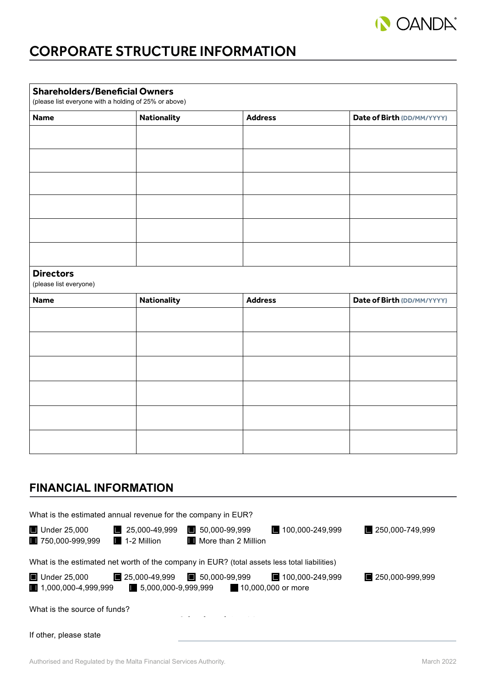

# CORPORATE STRUCTURE INFORMATION

| <b>Shareholders/Beneficial Owners</b><br>(please list everyone with a holding of 25% or above) |                    |                |                            |
|------------------------------------------------------------------------------------------------|--------------------|----------------|----------------------------|
| <b>Name</b>                                                                                    | <b>Nationality</b> | <b>Address</b> | Date of Birth (DD/MM/YYYY) |
|                                                                                                |                    |                |                            |
|                                                                                                |                    |                |                            |
|                                                                                                |                    |                |                            |
|                                                                                                |                    |                |                            |
|                                                                                                |                    |                |                            |
|                                                                                                |                    |                |                            |
| <b>Directors</b><br>(please list everyone)                                                     |                    |                |                            |
| <b>Name</b>                                                                                    | Nationality        | <b>Address</b> | Date of Birth (DD/MM/YYYY) |
|                                                                                                |                    |                |                            |
|                                                                                                |                    |                |                            |
|                                                                                                |                    |                |                            |
|                                                                                                |                    |                |                            |
|                                                                                                |                    |                |                            |
|                                                                                                |                    |                |                            |

## **FINANCIAL INFORMATION**

| What is the estimated annual revenue for the company in EUR?                                                                            |                                                                                              |                 |
|-----------------------------------------------------------------------------------------------------------------------------------------|----------------------------------------------------------------------------------------------|-----------------|
| 25,000-49,999<br>Under 25,000<br>$\blacksquare$ 1-2 Million<br>750,000-999,999                                                          | ■ 100,000-249,999<br>$\blacksquare$ 50,000-99,999<br>More than 2 Million                     | 250,000-749,999 |
|                                                                                                                                         | What is the estimated net worth of the company in EUR? (total assets less total liabilities) |                 |
| $\blacksquare$ 25,000-49,999<br>$\blacksquare$ Under 25,000<br>$\blacksquare$ 5,000,000-9,999,999<br>$\blacksquare$ 1,000,000-4,999,999 | 50,000-99,999<br>■ 100,000-249,999<br>10,000,000 or more                                     | 250,000-999,999 |
| What is the source of funds?                                                                                                            |                                                                                              |                 |
| If other, please state                                                                                                                  |                                                                                              |                 |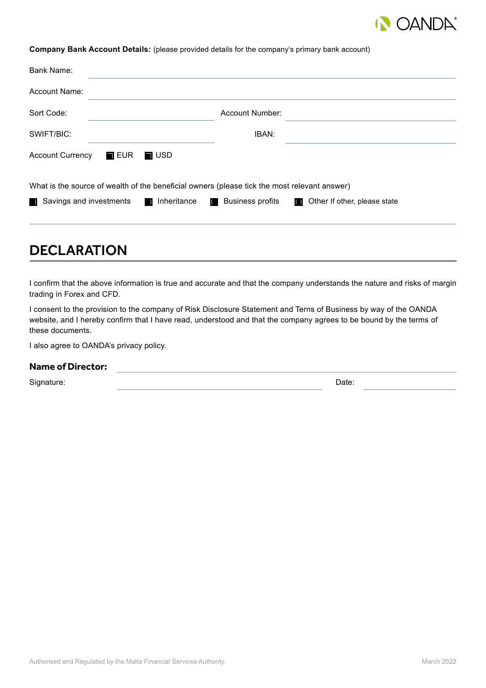

#### **Company Bank Account Details:** (please provided details for the company's primary bank account)

| Bank Name:                                                                                   |                                                              |  |  |  |
|----------------------------------------------------------------------------------------------|--------------------------------------------------------------|--|--|--|
| <b>Account Name:</b>                                                                         |                                                              |  |  |  |
| Sort Code:                                                                                   | Account Number:                                              |  |  |  |
| SWIFT/BIC:                                                                                   | IBAN:                                                        |  |  |  |
| <b>Account Currency</b><br>$\blacksquare$ EUR<br>∎ ∪SD                                       |                                                              |  |  |  |
| What is the source of wealth of the beneficial owners (please tick the most relevant answer) |                                                              |  |  |  |
| Savings and investments<br>Inheritance<br>III I<br><b>in the set</b>                         | <b>Business profits</b><br>Other If other, please state<br>П |  |  |  |
|                                                                                              |                                                              |  |  |  |

## DECLARATION

I confirm that the above information is true and accurate and that the company understands the nature and risks of margin trading in Forex and CFD.

I consent to the provision to the company of Risk Disclosure Statement and Terns of Business by way of the OANDA website, and I hereby confirm that I have read, understood and that the company agrees to be bound by the terms of these documents.

I also agree to OANDA's privacy policy.

#### **Name of Director:**

Signature: Date: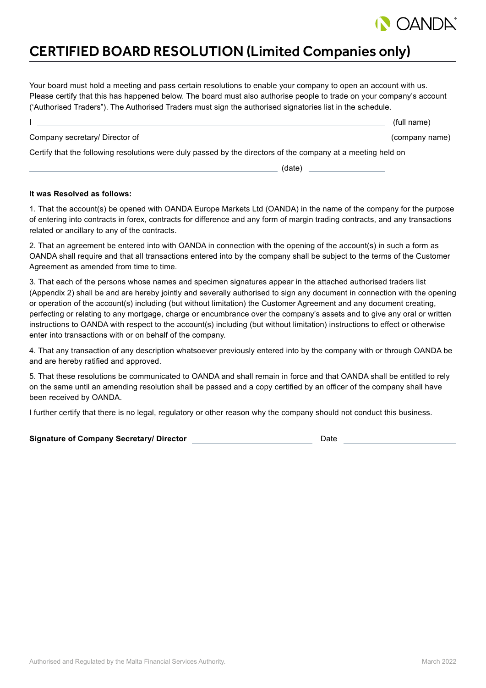

## CERTIFIED BOARD RESOLUTION (Limited Companies only)

Your board must hold a meeting and pass certain resolutions to enable your company to open an account with us. Please certify that this has happened below. The board must also authorise people to trade on your company's account ('Authorised Traders"). The Authorised Traders must sign the authorised signatories list in the schedule.

|                                                                                                              | (full name)    |  |
|--------------------------------------------------------------------------------------------------------------|----------------|--|
| Company secretary/ Director of                                                                               | (company name) |  |
| Certify that the following resolutions were duly passed by the directors of the company at a meeting held on |                |  |
| (date)                                                                                                       |                |  |

#### **It was Resolved as follows:**

1. That the account(s) be opened with OANDA Europe Markets Ltd (OANDA) in the name of the company for the purpose of entering into contracts in forex, contracts for difference and any form of margin trading contracts, and any transactions related or ancillary to any of the contracts.

2. That an agreement be entered into with OANDA in connection with the opening of the account(s) in such a form as OANDA shall require and that all transactions entered into by the company shall be subject to the terms of the Customer Agreement as amended from time to time.

3. That each of the persons whose names and specimen signatures appear in the attached authorised traders list (Appendix 2) shall be and are hereby jointly and severally authorised to sign any document in connection with the opening or operation of the account(s) including (but without limitation) the Customer Agreement and any document creating, perfecting or relating to any mortgage, charge or encumbrance over the company's assets and to give any oral or written instructions to OANDA with respect to the account(s) including (but without limitation) instructions to effect or otherwise enter into transactions with or on behalf of the company.

4. That any transaction of any description whatsoever previously entered into by the company with or through OANDA be and are hereby ratified and approved.

5. That these resolutions be communicated to OANDA and shall remain in force and that OANDA shall be entitled to rely on the same until an amending resolution shall be passed and a copy certified by an officer of the company shall have been received by OANDA.

I further certify that there is no legal, regulatory or other reason why the company should not conduct this business.

| <b>Signature of Company Secretary/ Director</b> | Date |
|-------------------------------------------------|------|
|-------------------------------------------------|------|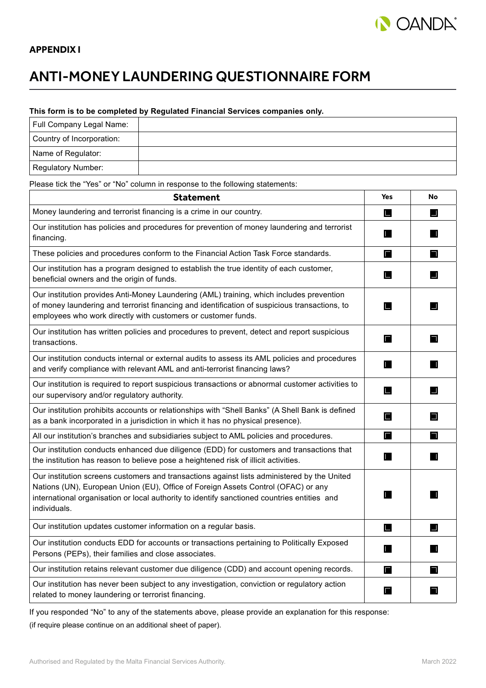

### **APPENDIX I**

# ANTI-MONEY LAUNDERING QUESTIONNAIRE FORM

#### **This form is to be completed by Regulated Financial Services companies only.**

| Full Company Legal Name:  |  |
|---------------------------|--|
| Country of Incorporation: |  |
| Name of Regulator:        |  |
| <b>Regulatory Number:</b> |  |

#### Please tick the "Yes" or "No" column in response to the following statements:

| <b>Statement</b>                                                                                                                                                                                                                                                                                | Yes | No     |
|-------------------------------------------------------------------------------------------------------------------------------------------------------------------------------------------------------------------------------------------------------------------------------------------------|-----|--------|
| Money laundering and terrorist financing is a crime in our country.                                                                                                                                                                                                                             |     | $\Box$ |
| Our institution has policies and procedures for prevention of money laundering and terrorist<br>financing.                                                                                                                                                                                      |     |        |
| These policies and procedures conform to the Financial Action Task Force standards.                                                                                                                                                                                                             |     | H      |
| Our institution has a program designed to establish the true identity of each customer,<br>beneficial owners and the origin of funds.                                                                                                                                                           |     |        |
| Our institution provides Anti-Money Laundering (AML) training, which includes prevention<br>of money laundering and terrorist financing and identification of suspicious transactions, to<br>employees who work directly with customers or customer funds.                                      |     |        |
| Our institution has written policies and procedures to prevent, detect and report suspicious<br>transactions.                                                                                                                                                                                   |     |        |
| Our institution conducts internal or external audits to assess its AML policies and procedures<br>and verify compliance with relevant AML and anti-terrorist financing laws?                                                                                                                    |     |        |
| Our institution is required to report suspicious transactions or abnormal customer activities to<br>our supervisory and/or regulatory authority.                                                                                                                                                |     |        |
| Our institution prohibits accounts or relationships with "Shell Banks" (A Shell Bank is defined<br>as a bank incorporated in a jurisdiction in which it has no physical presence).                                                                                                              |     |        |
| All our institution's branches and subsidiaries subject to AML policies and procedures.                                                                                                                                                                                                         |     |        |
| Our institution conducts enhanced due diligence (EDD) for customers and transactions that<br>the institution has reason to believe pose a heightened risk of illicit activities.                                                                                                                |     |        |
| Our institution screens customers and transactions against lists administered by the United<br>Nations (UN), European Union (EU), Office of Foreign Assets Control (OFAC) or any<br>international organisation or local authority to identify sanctioned countries entities and<br>individuals. |     |        |
| Our institution updates customer information on a regular basis.                                                                                                                                                                                                                                |     |        |
| Our institution conducts EDD for accounts or transactions pertaining to Politically Exposed<br>Persons (PEPs), their families and close associates.                                                                                                                                             |     |        |
| Our institution retains relevant customer due diligence (CDD) and account opening records.                                                                                                                                                                                                      |     |        |
| Our institution has never been subject to any investigation, conviction or regulatory action<br>related to money laundering or terrorist financing.                                                                                                                                             |     |        |

If you responded "No" to any of the statements above, please provide an explanation for this response:

(if require please continue on an additional sheet of paper).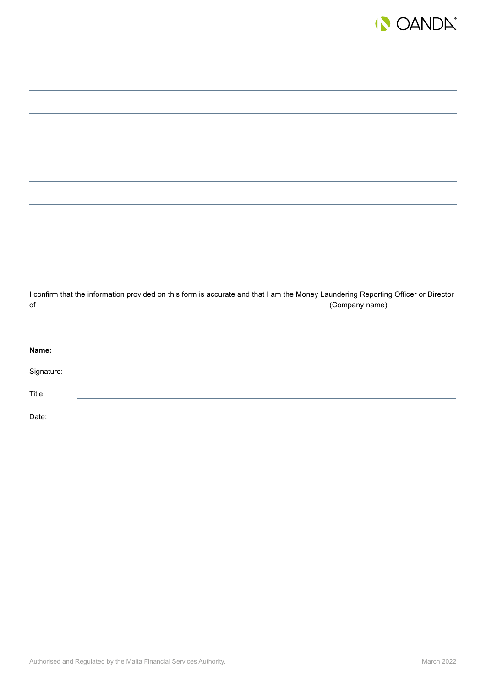

| of         | I confirm that the information provided on this form is accurate and that I am the Money Laundering Reporting Officer or Director<br>(Company name)<br>the contract of the contract of the contract of the contract of |  |
|------------|------------------------------------------------------------------------------------------------------------------------------------------------------------------------------------------------------------------------|--|
|            |                                                                                                                                                                                                                        |  |
|            |                                                                                                                                                                                                                        |  |
| Name:      |                                                                                                                                                                                                                        |  |
|            |                                                                                                                                                                                                                        |  |
| Signature: |                                                                                                                                                                                                                        |  |
| Title:     |                                                                                                                                                                                                                        |  |
|            |                                                                                                                                                                                                                        |  |
| Date:      |                                                                                                                                                                                                                        |  |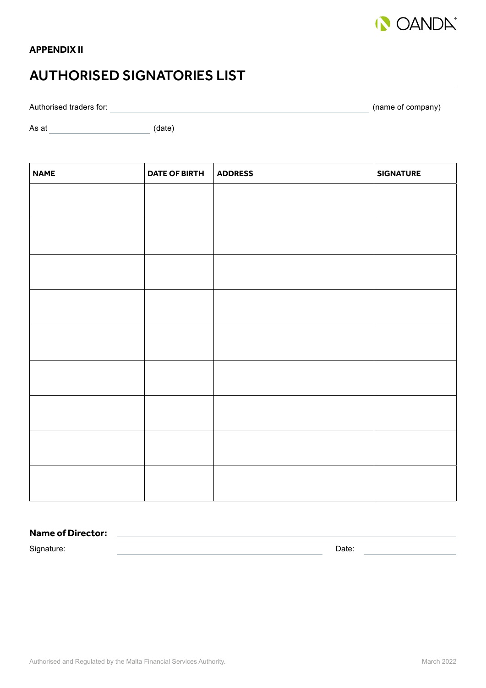

### **APPENDIX II**

## AUTHORISED SIGNATORIES LIST

Authorised traders for: (name of company)

As at (date)

| <b>NAME</b> | <b>DATE OF BIRTH</b> | <b>ADDRESS</b> | <b>SIGNATURE</b> |
|-------------|----------------------|----------------|------------------|
|             |                      |                |                  |
|             |                      |                |                  |
|             |                      |                |                  |
|             |                      |                |                  |
|             |                      |                |                  |
|             |                      |                |                  |
|             |                      |                |                  |
|             |                      |                |                  |
|             |                      |                |                  |
|             |                      |                |                  |
|             |                      |                |                  |
|             |                      |                |                  |
|             |                      |                |                  |
|             |                      |                |                  |
|             |                      |                |                  |
|             |                      |                |                  |
|             |                      |                |                  |

### **Name of Director:**

Signature: Date:

Ī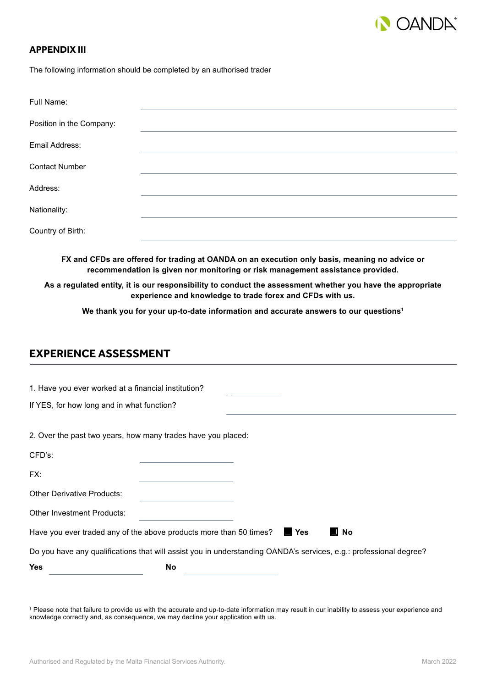

### **APPENDIX III**

The following information should be completed by an authorised trader

| Full Name:               |  |
|--------------------------|--|
| Position in the Company: |  |
| Email Address:           |  |
| <b>Contact Number</b>    |  |
| Address:                 |  |
| Nationality:             |  |
| Country of Birth:        |  |

**FX and CFDs are offered for trading at OANDA on an execution only basis, meaning no advice or recommendation is given nor monitoring or risk management assistance provided.**

**As a regulated entity, it is our responsibility to conduct the assessment whether you have the appropriate experience and knowledge to trade forex and CFDs with us.**

**We thank you for your up-to-date information and accurate answers to our questions1**

### **EXPERIENCE ASSESSMENT**

| If YES, for how long and in what function?<br>2. Over the past two years, how many trades have you placed:<br>CFD's:<br>FX:<br><b>Other Derivative Products:</b><br><b>Other Investment Products:</b><br>$\blacksquare$ No<br>$\blacksquare$ Yes<br>Have you ever traded any of the above products more than 50 times? |
|------------------------------------------------------------------------------------------------------------------------------------------------------------------------------------------------------------------------------------------------------------------------------------------------------------------------|
|                                                                                                                                                                                                                                                                                                                        |
|                                                                                                                                                                                                                                                                                                                        |
|                                                                                                                                                                                                                                                                                                                        |
|                                                                                                                                                                                                                                                                                                                        |
|                                                                                                                                                                                                                                                                                                                        |
|                                                                                                                                                                                                                                                                                                                        |
|                                                                                                                                                                                                                                                                                                                        |
| Do you have any qualifications that will assist you in understanding OANDA's services, e.g.: professional degree?                                                                                                                                                                                                      |
| <b>Yes</b><br>No                                                                                                                                                                                                                                                                                                       |

1 Please note that failure to provide us with the accurate and up-to-date information may result in our inability to assess your experience and knowledge correctly and, as consequence, we may decline your application with us.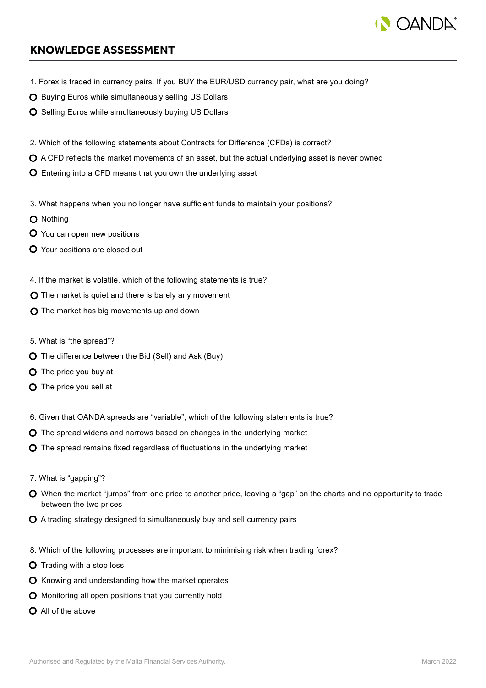

### **KNOWLEDGE ASSESSMENT**

- 1. Forex is traded in currency pairs. If you BUY the EUR/USD currency pair, what are you doing?
- **O** Buying Euros while simultaneously selling US Dollars
- O Selling Euros while simultaneously buying US Dollars
- 2. Which of the following statements about Contracts for Difference (CFDs) is correct?
- A CFD reflects the market movements of an asset, but the actual underlying asset is never owned
- Entering into a CFD means that you own the underlying asset
- 3. What happens when you no longer have sufficient funds to maintain your positions?
- **O** Nothing
- You can open new positions
- Your positions are closed out
- 4. If the market is volatile, which of the following statements is true?
- O The market is quiet and there is barely any movement
- $\Omega$  The market has big movements up and down
- 5. What is "the spread"?
- The difference between the Bid (Sell) and Ask (Buy)
- $\Omega$  The price you buy at
- O The price you sell at
- 6. Given that OANDA spreads are "variable", which of the following statements is true?
- O The spread widens and narrows based on changes in the underlying market
- O The spread remains fixed regardless of fluctuations in the underlying market
- 7. What is "gapping"?
- When the market "jumps" from one price to another price, leaving a "gap" on the charts and no opportunity to trade between the two prices
- A trading strategy designed to simultaneously buy and sell currency pairs
- 8. Which of the following processes are important to minimising risk when trading forex?
- **O** Trading with a stop loss
- O Knowing and understanding how the market operates
- O Monitoring all open positions that you currently hold
- All of the above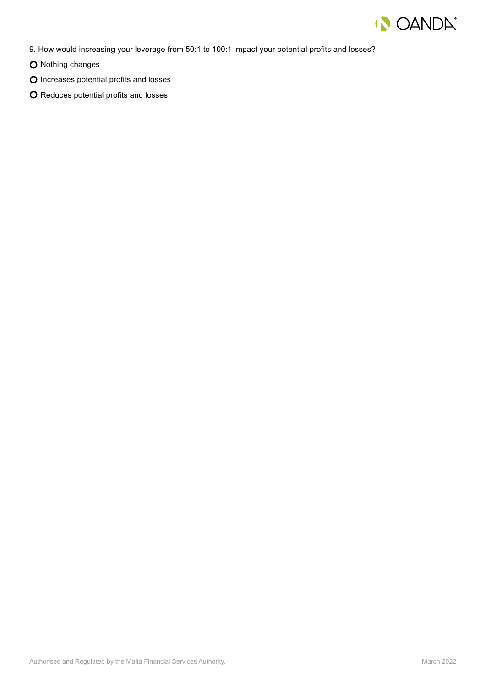

- 9. How would increasing your leverage from 50:1 to 100:1 impact your potential profits and losses?
- O Nothing changes
- O Increases potential profits and losses
- O Reduces potential profits and losses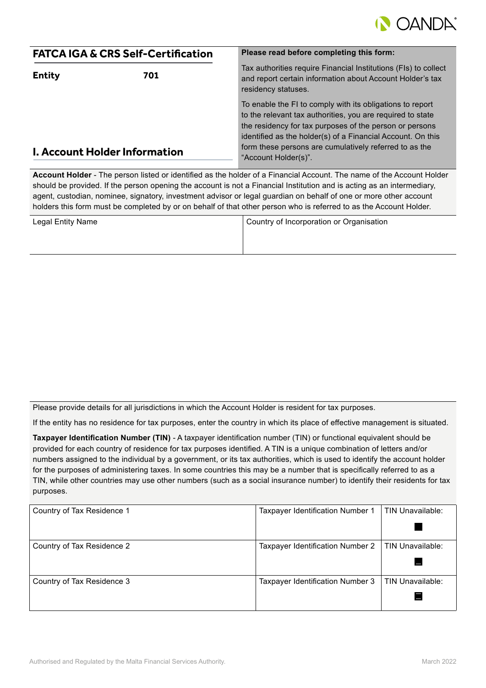

|               | <b>FATCA IGA &amp; CRS Self-Certification</b> | Please read before completing this form:                                                                                                                                                                                                          |  |  |  |
|---------------|-----------------------------------------------|---------------------------------------------------------------------------------------------------------------------------------------------------------------------------------------------------------------------------------------------------|--|--|--|
| <b>Entity</b> | 701                                           | Tax authorities require Financial Institutions (FIs) to collect<br>and report certain information about Account Holder's tax<br>residency statuses.                                                                                               |  |  |  |
|               |                                               | To enable the FI to comply with its obligations to report<br>to the relevant tax authorities, you are required to state<br>the residency for tax purposes of the person or persons<br>identified as the holder(s) of a Financial Account. On this |  |  |  |
|               | <b>I. Account Holder Information</b>          | form these persons are cumulatively referred to as the<br>"Account Holder(s)".                                                                                                                                                                    |  |  |  |

**Account Holder** - The person listed or identified as the holder of a Financial Account. The name of the Account Holder should be provided. If the person opening the account is not a Financial Institution and is acting as an intermediary, agent, custodian, nominee, signatory, investment advisor or legal guardian on behalf of one or more other account holders this form must be completed by or on behalf of that other person who is referred to as the Account Holder.

| Legal Entity Name | Country of Incorporation or Organisation |
|-------------------|------------------------------------------|
|                   |                                          |
|                   |                                          |

Please provide details for all jurisdictions in which the Account Holder is resident for tax purposes.

If the entity has no residence for tax purposes, enter the country in which its place of effective management is situated.

**Taxpayer Identification Number (TIN)** - A taxpayer identification number (TIN) or functional equivalent should be provided for each country of residence for tax purposes identified. A TIN is a unique combination of letters and/or numbers assigned to the individual by a government, or its tax authorities, which is used to identify the account holder for the purposes of administering taxes. In some countries this may be a number that is specifically referred to as a TIN, while other countries may use other numbers (such as a social insurance number) to identify their residents for tax purposes.

| Country of Tax Residence 1 | Taxpayer Identification Number 1 | <b>TIN Unavailable:</b> |
|----------------------------|----------------------------------|-------------------------|
| Country of Tax Residence 2 | Taxpayer Identification Number 2 | TIN Unavailable:        |
| Country of Tax Residence 3 | Taxpayer Identification Number 3 | TIN Unavailable:        |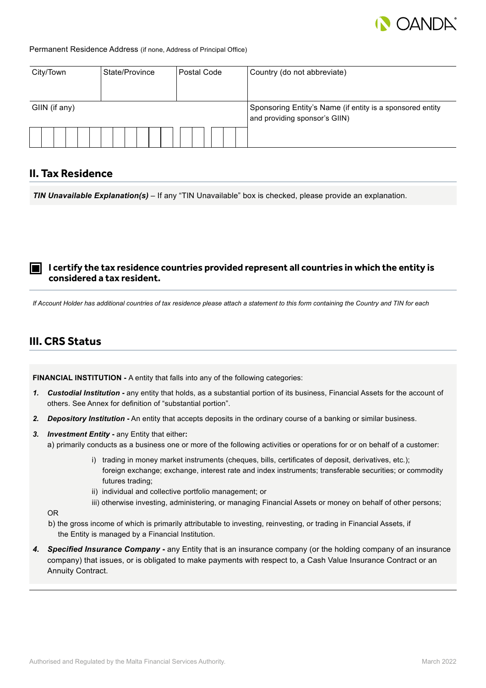

#### Permanent Residence Address (if none, Address of Principal Office)

| City/Town     | State/Province | Postal Code | Country (do not abbreviate)                                                                |
|---------------|----------------|-------------|--------------------------------------------------------------------------------------------|
| GIIN (if any) |                |             | Sponsoring Entity's Name (if entity is a sponsored entity<br>and providing sponsor's GIIN) |
|               |                |             |                                                                                            |

### **II. Tax Residence**

*TIN Unavailable Explanation(s)* – If any "TIN Unavailable" box is checked, please provide an explanation.

#### **I certify the tax residence countries provided represent all countries in which the entity is considered a tax resident.**

*If Account Holder has additional countries of tax residence please attach a statement to this form containing the Country and TIN for each*

## **III. CRS Status**

**FINANCIAL INSTITUTION -** A entity that falls into any of the following categories:

- *1. Custodial Institution*any entity that holds, as a substantial portion of its business, Financial Assets for the account of others. See Annex for definition of "substantial portion".
- *2. Depository Institution* **-** An entity that accepts deposits in the ordinary course of a banking or similar business.
- *3. Investment Entity* any Entity that either**:** a) primarily conducts as a business one or more of the following activities or operations for or on behalf of a customer:
	- i)trading in money market instruments (cheques, bills, certificates of deposit, derivatives, etc.); foreign exchange; exchange, interest rate and index instruments; transferable securities; or commodity futures trading;
	- ii) individual and collective portfolio management; or
	- iii) otherwise investing, administering, or managing Financial Assets or money on behalf of other persons;

#### OR

- b) the gross income of which is primarily attributable to investing, reinvesting, or trading in Financial Assets, if the Entity is managed by a Financial Institution.
- *4. Specified Insurance Company* **-** any Entity that is an insurance company (or the holding company of an insurance company) that issues, or is obligated to make payments with respect to, a Cash Value Insurance Contract or an Annuity Contract.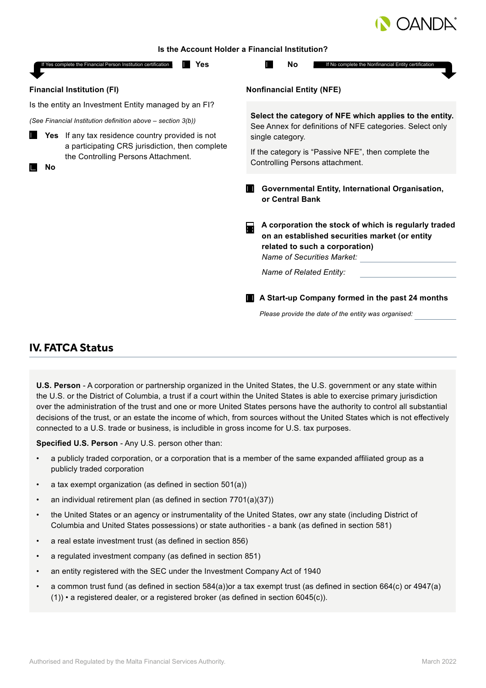

| Is the Account Holder a Financial Institution?                                         |                                                                                                                                                                        |  |  |  |  |  |  |  |
|----------------------------------------------------------------------------------------|------------------------------------------------------------------------------------------------------------------------------------------------------------------------|--|--|--|--|--|--|--|
| <b>Yes</b><br>f Yes complete the Financial Person Institution certification            | No<br>If No complete the Nonfinancial Entity certification                                                                                                             |  |  |  |  |  |  |  |
| <b>Financial Institution (FI)</b>                                                      | <b>Nonfinancial Entity (NFE)</b>                                                                                                                                       |  |  |  |  |  |  |  |
| Is the entity an Investment Entity managed by an FI?                                   |                                                                                                                                                                        |  |  |  |  |  |  |  |
| (See Financial Institution definition above – section 3(b))                            | Select the category of NFE which applies to the entity.<br>See Annex for definitions of NFE categories. Select only                                                    |  |  |  |  |  |  |  |
| <b>Yes</b> If any tax residence country provided is not                                | single category.                                                                                                                                                       |  |  |  |  |  |  |  |
| a participating CRS jurisdiction, then complete<br>the Controlling Persons Attachment. | If the category is "Passive NFE", then complete the                                                                                                                    |  |  |  |  |  |  |  |
| No                                                                                     | Controlling Persons attachment.                                                                                                                                        |  |  |  |  |  |  |  |
|                                                                                        | Governmental Entity, International Organisation,<br>or Central Bank                                                                                                    |  |  |  |  |  |  |  |
|                                                                                        | A corporation the stock of which is regularly traded<br>on an established securities market (or entity<br>related to such a corporation)<br>Name of Securities Market: |  |  |  |  |  |  |  |
|                                                                                        | Name of Related Entity:                                                                                                                                                |  |  |  |  |  |  |  |
|                                                                                        | A Start-up Company formed in the past 24 months<br>Please provide the date of the entity was organised:                                                                |  |  |  |  |  |  |  |

## **IV. FATCA Status**

**U.S. Person** - A corporation or partnership organized in the United States, the U.S. government or any state within the U.S. or the District of Columbia, a trust if a court within the United States is able to exercise primary jurisdiction over the administration of the trust and one or more United States persons have the authority to control all substantial decisions of the trust, or an estate the income of which, from sources without the United States which is not effectively connected to a U.S. trade or business, is includible in gross income for U.S. tax purposes.

**Specified U.S. Person** - Any U.S. person other than:

- a publicly traded corporation, or a corporation that is a member of the same expanded affiliated group as a publicly traded corporation
- a tax exempt organization (as defined in section 501(a))
- an individual retirement plan (as defined in section 7701(a)(37))
- the United States or an agency or instrumentality of the United States, owr any state (including District of Columbia and United States possessions) or state authorities - a bank (as defined in section 581)
- a real estate investment trust (as defined in section 856)
- a regulated investment company (as defined in section 851)
- an entity registered with the SEC under the Investment Company Act of 1940
- a common trust fund (as defined in section 584(a))or a tax exempt trust (as defined in section 664(c) or 4947(a) (1)) • a registered dealer, or a registered broker (as defined in section 6045(c)).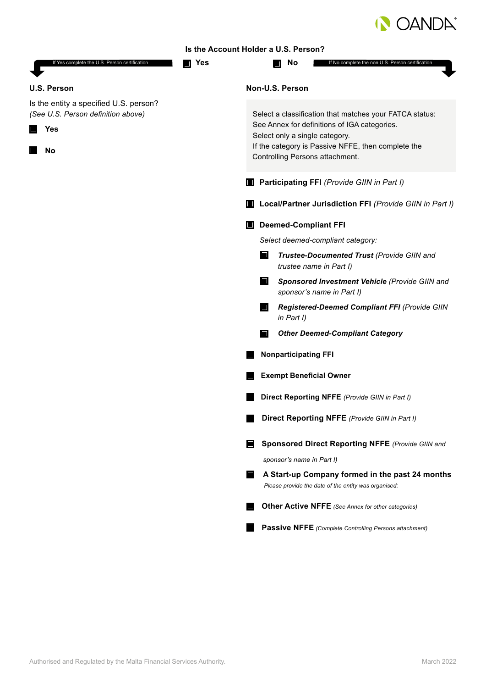

## **Is the Account Holder a U.S. Person?** If Yes complete the U.S. Person certification **Yes Yes No If No If No complete the non U.S. Person certification U.S. Person** Is the entity a specified U.S. person? *(See U.S. Person definition above)* **Yes No Non-U.S. Person** Select a classification that matches your FATCA status: See Annex for definitions of IGA categories. Select only a single category. If the category is Passive NFFE, then complete the Controlling Persons attachment. **Participating FFI** *(Provide GIIN in Part I)* **Local/Partner Jurisdiction FFI** *(Provide GIIN in Part I)* **Deemed-Compliant FFI** *Select deemed-compliant category: <u>Elistee-Documented Trust (Provide GIIN and* </u>  *trustee name in Part I) Sponsored Investment Vehicle (Provide GIIN and sponsor's name in Part I) Registered-Deemed Compliant FFI (Provide GIIN in Part I) Other Deemed-Compliant Category*  $\blacksquare$  Nonparticipating FFI **EXempt Beneficial Owner Direct Reporting NFFE** *(Provide GIIN in Part I)* **Direct Reporting NFFE** *(Provide GIIN in Part I)*  **Sponsored Direct Reporting NFFE** *(Provide GIIN and sponsor's name in Part I)*  $\blacksquare$  A Start-up Company formed in the past 24 months *Please provide the date of the entity was organised:*

- **Other Active NFFE** *(See Annex for other categories)*
- **Passive NFFE** *(Complete Controlling Persons attachment)*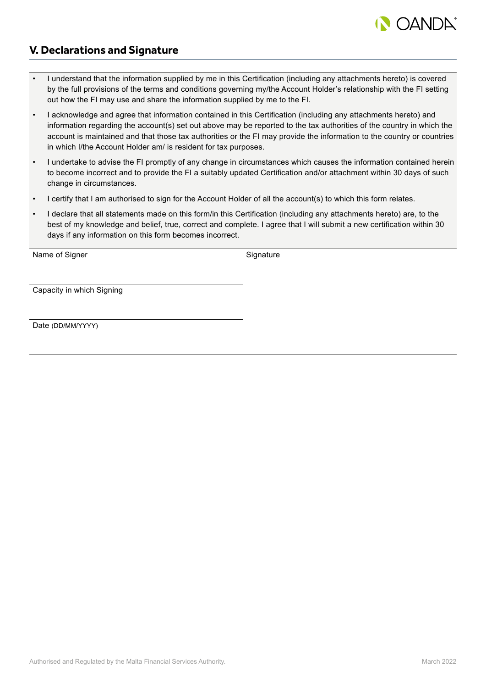

## **V. Declarations and Signature**

- I understand that the information supplied by me in this Certification (including any attachments hereto) is covered by the full provisions of the terms and conditions governing my/the Account Holder's relationship with the FI setting out how the FI may use and share the information supplied by me to the FI.
- I acknowledge and agree that information contained in this Certification (including any attachments hereto) and information regarding the account(s) set out above may be reported to the tax authorities of the country in which the account is maintained and that those tax authorities or the FI may provide the information to the country or countries in which I/the Account Holder am/ is resident for tax purposes.
- I undertake to advise the FI promptly of any change in circumstances which causes the information contained herein to become incorrect and to provide the FI a suitably updated Certification and/or attachment within 30 days of such change in circumstances.
- I certify that I am authorised to sign for the Account Holder of all the account(s) to which this form relates.
- I declare that all statements made on this form/in this Certification (including any attachments hereto) are, to the best of my knowledge and belief, true, correct and complete. I agree that I will submit a new certification within 30 days if any information on this form becomes incorrect.

| Name of Signer            | Signature |
|---------------------------|-----------|
|                           |           |
| Capacity in which Signing |           |
|                           |           |
| Date (DD/MM/YYYY)         |           |
|                           |           |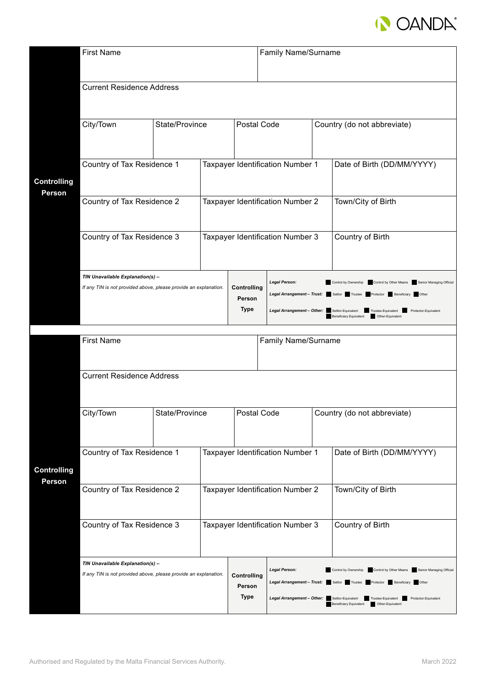

|                              | <b>First Name</b>                                                                                                                     |  |             |                                  | Family Name/Surname                                                                                                                                                                                                                 |                             |                                                                                                                                                                                                                                           |  |
|------------------------------|---------------------------------------------------------------------------------------------------------------------------------------|--|-------------|----------------------------------|-------------------------------------------------------------------------------------------------------------------------------------------------------------------------------------------------------------------------------------|-----------------------------|-------------------------------------------------------------------------------------------------------------------------------------------------------------------------------------------------------------------------------------------|--|
|                              | <b>Current Residence Address</b>                                                                                                      |  |             |                                  |                                                                                                                                                                                                                                     |                             |                                                                                                                                                                                                                                           |  |
|                              | City/Town<br>State/Province                                                                                                           |  |             | Postal Code                      |                                                                                                                                                                                                                                     | Country (do not abbreviate) |                                                                                                                                                                                                                                           |  |
| <b>Controlling</b>           | Country of Tax Residence 1                                                                                                            |  |             | Taxpayer Identification Number 1 |                                                                                                                                                                                                                                     |                             | Date of Birth (DD/MM/YYYY)                                                                                                                                                                                                                |  |
| <b>Person</b>                | Country of Tax Residence 2                                                                                                            |  |             | Taxpayer Identification Number 2 |                                                                                                                                                                                                                                     |                             | Town/City of Birth                                                                                                                                                                                                                        |  |
|                              | Country of Tax Residence 3                                                                                                            |  |             | Taxpayer Identification Number 3 |                                                                                                                                                                                                                                     |                             | Country of Birth                                                                                                                                                                                                                          |  |
|                              | TIN Unavailable Explanation(s) -<br>If any TIN is not provided above, please provide an explanation.<br><b>Type</b>                   |  |             | Controlling<br>Person            | <b>Legal Person:</b><br>Control by Ownership<br>Control by Other Means<br>Legal Arrangement - Trust:<br>Legal Arrangement - Other:<br>Settlor-Equivalent<br>Trustee-Equivalent<br><b>Beneficiary Equivalent</b><br>Other-Equivalent |                             | Senior Managing Official<br>Protector-Equivalent                                                                                                                                                                                          |  |
|                              |                                                                                                                                       |  |             |                                  |                                                                                                                                                                                                                                     |                             |                                                                                                                                                                                                                                           |  |
|                              | <b>First Name</b>                                                                                                                     |  |             |                                  | Family Name/Surname                                                                                                                                                                                                                 |                             |                                                                                                                                                                                                                                           |  |
|                              | <b>Current Residence Address</b>                                                                                                      |  |             |                                  |                                                                                                                                                                                                                                     |                             |                                                                                                                                                                                                                                           |  |
|                              | City/Town<br>State/Province                                                                                                           |  | Postal Code |                                  |                                                                                                                                                                                                                                     | Country (do not abbreviate) |                                                                                                                                                                                                                                           |  |
| <b>Controlling</b><br>Person | Country of Tax Residence 1                                                                                                            |  |             | Taxpayer Identification Number 1 |                                                                                                                                                                                                                                     |                             | Date of Birth (DD/MM/YYYY)                                                                                                                                                                                                                |  |
|                              | Country of Tax Residence 2                                                                                                            |  |             | Taxpayer Identification Number 2 |                                                                                                                                                                                                                                     |                             | Town/City of Birth                                                                                                                                                                                                                        |  |
|                              | Country of Tax Residence 3                                                                                                            |  |             | Taxpayer Identification Number 3 |                                                                                                                                                                                                                                     |                             | Country of Birth                                                                                                                                                                                                                          |  |
|                              | TIN Unavailable Explanation(s) -<br>If any TIN is not provided above, please provide an explanation.<br>Controlling<br>Person<br>Type |  |             |                                  | Legal Person:<br>Legal Arrangement - Trust:<br>Legal Arrangement - Other:                                                                                                                                                           |                             | Senior Managing Official<br>Control by Ownership Control by Other Means<br>Settlor <b>N</b><br>Trustee Protector<br>Protector-Equivalent<br>Settlor-Equivalent<br>Trustee-Equivalent<br><b>Beneficiary Equivalent</b><br>Other-Equivalent |  |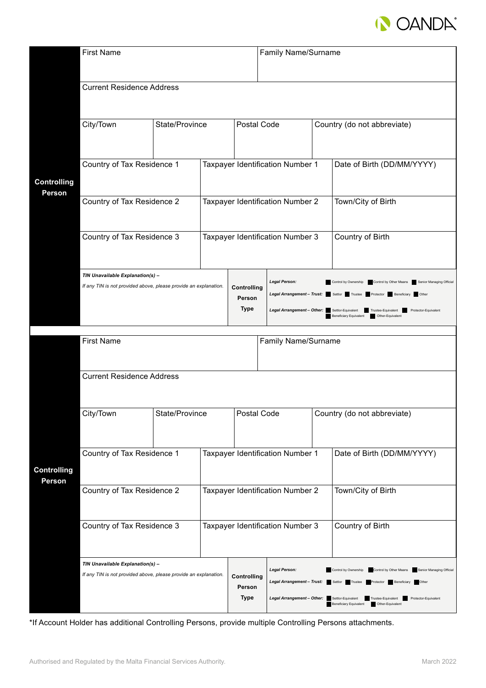

|                              | <b>First Name</b>                                                                                    |                |  |                                                      | Family Name/Surname                                                                                                                                                                                                                                  |                             |                                                                                                                                                                                                                |  |
|------------------------------|------------------------------------------------------------------------------------------------------|----------------|--|------------------------------------------------------|------------------------------------------------------------------------------------------------------------------------------------------------------------------------------------------------------------------------------------------------------|-----------------------------|----------------------------------------------------------------------------------------------------------------------------------------------------------------------------------------------------------------|--|
|                              | <b>Current Residence Address</b>                                                                     |                |  |                                                      |                                                                                                                                                                                                                                                      |                             |                                                                                                                                                                                                                |  |
|                              | City/Town<br>State/Province                                                                          |                |  | Postal Code                                          |                                                                                                                                                                                                                                                      |                             | Country (do not abbreviate)                                                                                                                                                                                    |  |
| <b>Controlling</b>           | Country of Tax Residence 1                                                                           |                |  | Taxpayer Identification Number 1                     |                                                                                                                                                                                                                                                      |                             | Date of Birth (DD/MM/YYYY)                                                                                                                                                                                     |  |
| Person                       | Country of Tax Residence 2                                                                           |                |  | Taxpayer Identification Number 2                     |                                                                                                                                                                                                                                                      |                             | Town/City of Birth                                                                                                                                                                                             |  |
|                              | Country of Tax Residence 3                                                                           |                |  |                                                      | Taxpayer Identification Number 3                                                                                                                                                                                                                     |                             | Country of Birth                                                                                                                                                                                               |  |
|                              | TIN Unavailable Explanation(s) -<br>If any TIN is not provided above, please provide an explanation. |                |  | Controlling<br>Person<br><b>Type</b>                 | <b>Legal Person:</b><br>Control by Ownership<br>Control by Other Means<br>Legal Arrangement - Trust:<br>Legal Arrangement - Other:<br>Protector-Equivalent<br>Settlor-Equivalent<br>Trustee-Equivalent<br>Beneficiary Equivalent<br>Other-Equivalent |                             | Senior Managing Official                                                                                                                                                                                       |  |
|                              | <b>First Name</b>                                                                                    |                |  |                                                      | Family Name/Surname                                                                                                                                                                                                                                  |                             |                                                                                                                                                                                                                |  |
|                              | <b>Current Residence Address</b>                                                                     |                |  |                                                      |                                                                                                                                                                                                                                                      |                             |                                                                                                                                                                                                                |  |
|                              |                                                                                                      |                |  |                                                      |                                                                                                                                                                                                                                                      |                             |                                                                                                                                                                                                                |  |
|                              | City/Town                                                                                            | State/Province |  | Postal Code                                          |                                                                                                                                                                                                                                                      | Country (do not abbreviate) |                                                                                                                                                                                                                |  |
| <b>Controlling</b><br>Person | Country of Tax Residence 1                                                                           |                |  | Taxpayer Identification Number 1                     |                                                                                                                                                                                                                                                      |                             | Date of Birth (DD/MM/YYYY)                                                                                                                                                                                     |  |
|                              | Country of Tax Residence 2                                                                           |                |  | Taxpayer Identification Number 2                     |                                                                                                                                                                                                                                                      |                             | Town/City of Birth                                                                                                                                                                                             |  |
|                              | Country of Tax Residence 3                                                                           |                |  | Taxpayer Identification Number 3<br>Country of Birth |                                                                                                                                                                                                                                                      |                             |                                                                                                                                                                                                                |  |
|                              | TIN Unavailable Explanation(s) -<br>If any TIN is not provided above, please provide an explanation. |                |  | Controlling<br>Person<br>Type                        | <b>Legal Person:</b><br>Legal Arrangement - Trust:<br>Legal Arrangement - Other:                                                                                                                                                                     |                             | Senior Managing Official<br>Control by Other Means<br>Control by Ownership<br>Settlor<br>Protector-Equivalent<br>Settlor-Equivalent<br>Trustee-Equivalent<br><b>Beneficiary Equivalent</b><br>Other-Equivalent |  |

\*If Account Holder has additional Controlling Persons, provide multiple Controlling Persons attachments.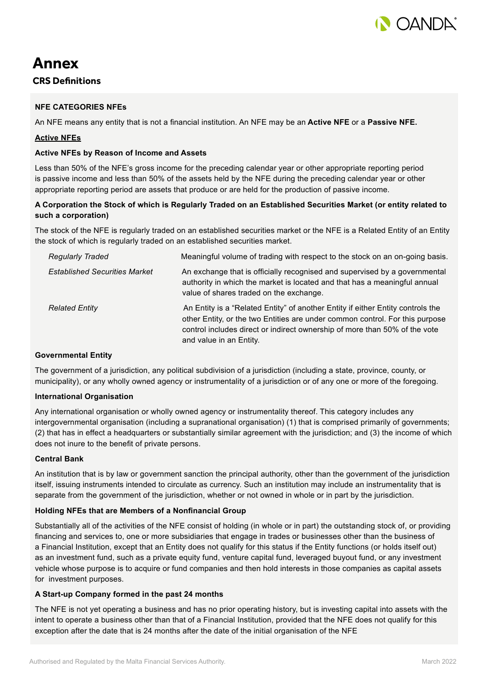

## **Annex CRS Definitions**

#### **NFE CATEGORIES NFEs**

An NFE means any entity that is not a financial institution. An NFE may be an **Active NFE** or a **Passive NFE.**

#### **Active NFEs**

#### **Active NFEs by Reason of Income and Assets**

Less than 50% of the NFE's gross income for the preceding calendar year or other appropriate reporting period is passive income and less than 50% of the assets held by the NFE during the preceding calendar year or other appropriate reporting period are assets that produce or are held for the production of passive income.

#### **A Corporation the Stock of which is Regularly Traded on an Established Securities Market (or entity related to such a corporation)**

The stock of the NFE is regularly traded on an established securities market or the NFE is a Related Entity of an Entity the stock of which is regularly traded on an established securities market.

| <b>Regularly Traded</b>              | Meaningful volume of trading with respect to the stock on an on-going basis.                                                                                                                                                                                             |
|--------------------------------------|--------------------------------------------------------------------------------------------------------------------------------------------------------------------------------------------------------------------------------------------------------------------------|
| <b>Established Securities Market</b> | An exchange that is officially recognised and supervised by a governmental<br>authority in which the market is located and that has a meaningful annual<br>value of shares traded on the exchange.                                                                       |
| <b>Related Entity</b>                | An Entity is a "Related Entity" of another Entity if either Entity controls the<br>other Entity, or the two Entities are under common control. For this purpose<br>control includes direct or indirect ownership of more than 50% of the vote<br>and value in an Entity. |

#### **Governmental Entity**

The government of a jurisdiction, any political subdivision of a jurisdiction (including a state, province, county, or municipality), or any wholly owned agency or instrumentality of a jurisdiction or of any one or more of the foregoing.

#### **International Organisation**

Any international organisation or wholly owned agency or instrumentality thereof. This category includes any intergovernmental organisation (including a supranational organisation) (1) that is comprised primarily of governments; (2) that has in effect a headquarters or substantially similar agreement with the jurisdiction; and (3) the income of which does not inure to the benefit of private persons.

#### **Central Bank**

An institution that is by law or government sanction the principal authority, other than the government of the jurisdiction itself, issuing instruments intended to circulate as currency. Such an institution may include an instrumentality that is separate from the government of the jurisdiction, whether or not owned in whole or in part by the jurisdiction.

#### **Holding NFEs that are Members of a Nonfinancial Group**

Substantially all of the activities of the NFE consist of holding (in whole or in part) the outstanding stock of, or providing financing and services to, one or more subsidiaries that engage in trades or businesses other than the business of a Financial Institution, except that an Entity does not qualify for this status if the Entity functions (or holds itself out) as an investment fund, such as a private equity fund, venture capital fund, leveraged buyout fund, or any investment vehicle whose purpose is to acquire or fund companies and then hold interests in those companies as capital assets for investment purposes.

#### **A Start-up Company formed in the past 24 months**

The NFE is not yet operating a business and has no prior operating history, but is investing capital into assets with the intent to operate a business other than that of a Financial Institution, provided that the NFE does not qualify for this exception after the date that is 24 months after the date of the initial organisation of the NFE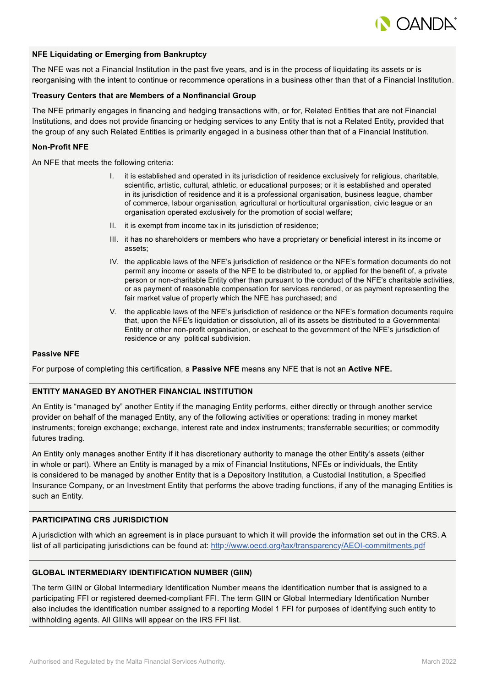

#### **NFE Liquidating or Emerging from Bankruptcy**

The NFE was not a Financial Institution in the past five years, and is in the process of liquidating its assets or is reorganising with the intent to continue or recommence operations in a business other than that of a Financial Institution.

#### **Treasury Centers that are Members of a Nonfinancial Group**

The NFE primarily engages in financing and hedging transactions with, or for, Related Entities that are not Financial Institutions, and does not provide financing or hedging services to any Entity that is not a Related Entity, provided that the group of any such Related Entities is primarily engaged in a business other than that of a Financial Institution.

#### **Non-Profit NFE**

An NFE that meets the following criteria:

- I. it is established and operated in its jurisdiction of residence exclusively for religious, charitable, scientific, artistic, cultural, athletic, or educational purposes; or it is established and operated in its jurisdiction of residence and it is a professional organisation, business league, chamber of commerce, labour organisation, agricultural or horticultural organisation, civic league or an organisation operated exclusively for the promotion of social welfare;
- II. it is exempt from income tax in its jurisdiction of residence;
- III. it has no shareholders or members who have a proprietary or beneficial interest in its income or assets;
- IV. the applicable laws of the NFE's jurisdiction of residence or the NFE's formation documents do not permit any income or assets of the NFE to be distributed to, or applied for the benefit of, a private person or non-charitable Entity other than pursuant to the conduct of the NFE's charitable activities, or as payment of reasonable compensation for services rendered, or as payment representing the fair market value of property which the NFE has purchased; and
- V. the applicable laws of the NFE's jurisdiction of residence or the NFE's formation documents require that, upon the NFE's liquidation or dissolution, all of its assets be distributed to a Governmental Entity or other non-profit organisation, or escheat to the government of the NFE's jurisdiction of residence or any political subdivision.

#### **Passive NFE**

For purpose of completing this certification, a **Passive NFE** means any NFE that is not an **Active NFE.**

#### **ENTITY MANAGED BY ANOTHER FINANCIAL INSTITUTION**

An Entity is "managed by" another Entity if the managing Entity performs, either directly or through another service provider on behalf of the managed Entity, any of the following activities or operations: trading in money market instruments; foreign exchange; exchange, interest rate and index instruments; transferrable securities; or commodity futures trading.

An Entity only manages another Entity if it has discretionary authority to manage the other Entity's assets (either in whole or part). Where an Entity is managed by a mix of Financial Institutions, NFEs or individuals, the Entity is considered to be managed by another Entity that is a Depository Institution, a Custodial Institution, a Specified Insurance Company, or an Investment Entity that performs the above trading functions, if any of the managing Entities is such an Entity.

#### **PARTICIPATING CRS JURISDICTION**

A jurisdiction with which an agreement is in place pursuant to which it will provide the information set out in the CRS. A list of all participating jurisdictions can be found at: [http](http://www.oecd.org/tax/transparency/AEOI-commitments.pdf)[://www.oecd.or](http://www.oecd.org/tax/transparency/AEOI-commitments.pdf)[g/tax/transparency](http://www.oecd.org/tax/transparency/AEOI-commitments.pdf)[/AEOI-commitments.](http://www.oecd.org/tax/transparency/AEOI-commitments.pdf)[p](http://www.oecd.org/tax/transparency/AEOI-commitments.pdf)[df](http://www.oecd.org/tax/transparency/AEOI-commitments.pdf)

#### **GLOBAL INTERMEDIARY IDENTIFICATION NUMBER (GIIN)**

The term GIIN or Global Intermediary Identification Number means the identification number that is assigned to a participating FFI or registered deemed-compliant FFI. The term GIIN or Global Intermediary Identification Number also includes the identification number assigned to a reporting Model 1 FFI for purposes of identifying such entity to withholding agents. All GIINs will appear on the IRS FFI list.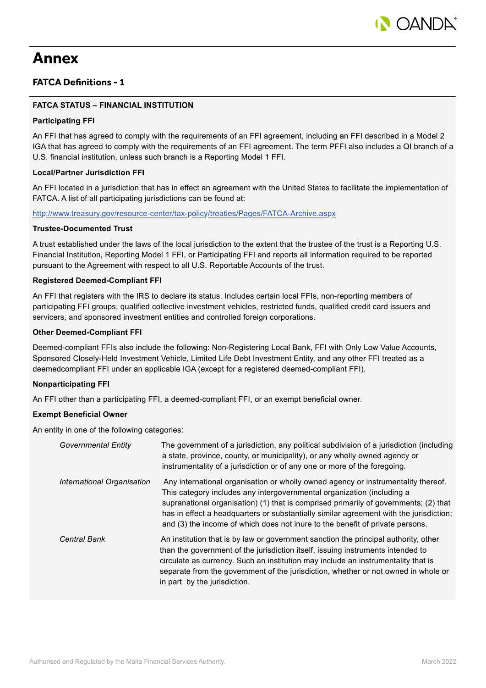

## **Annex**

### **FATCA Definitions - 1**

#### **FATCA STATUS – FINANCIAL INSTITUTION**

#### **Participating FFI**

An FFI that has agreed to comply with the requirements of an FFI agreement, including an FFI described in a Model 2 IGA that has agreed to comply with the requirements of an FFI agreement. The term PFFI also includes a QI branch of a U.S. financial institution, unless such branch is a Reporting Model 1 FFI.

#### **Local/Partner Jurisdiction FFI**

An FFI located in a jurisdiction that has in effect an agreement with the United States to facilitate the implementation of FATCA. A list of all participating jurisdictions can be found at:

[http](https://www.treasury.gov/resource-center/tax-policy/treaties/Pages/FATCA-Archive.aspx)[://www.treasury.](https://www.treasury.gov/resource-center/tax-policy/treaties/Pages/FATCA-Archive.aspx)[g](https://www.treasury.gov/resource-center/tax-policy/treaties/Pages/FATCA-Archive.aspx)[ov/resource-center/tax-](https://www.treasury.gov/resource-center/tax-policy/treaties/Pages/FATCA-Archive.aspx)[policy/treaties/Pag](https://www.treasury.gov/resource-center/tax-policy/treaties/Pages/FATCA-Archive.aspx)[es/FATCA-Archive.as](https://www.treasury.gov/resource-center/tax-policy/treaties/Pages/FATCA-Archive.aspx)[px](https://www.treasury.gov/resource-center/tax-policy/treaties/Pages/FATCA-Archive.aspx)

#### **Trustee-Documented Trust**

A trust established under the laws of the local jurisdiction to the extent that the trustee of the trust is a Reporting U.S. Financial Institution, Reporting Model 1 FFI, or Participating FFI and reports all information required to be reported pursuant to the Agreement with respect to all U.S. Reportable Accounts of the trust.

#### **Registered Deemed-Compliant FFI**

An FFI that registers with the IRS to declare its status. Includes certain local FFIs, non-reporting members of participating FFI groups, qualified collective investment vehicles, restricted funds, qualified credit card issuers and servicers, and sponsored investment entities and controlled foreign corporations.

#### **Other Deemed-Compliant FFI**

Deemed-compliant FFIs also include the following: Non-Registering Local Bank, FFI with Only Low Value Accounts, Sponsored Closely-Held Investment Vehicle, Limited Life Debt Investment Entity, and any other FFI treated as a deemedcompliant FFI under an applicable IGA (except for a registered deemed-compliant FFI).

#### **Nonparticipating FFI**

An FFI other than a participating FFI, a deemed-compliant FFI, or an exempt beneficial owner.

#### **Exempt Beneficial Owner**

An entity in one of the following categories:

| Governmental Entity        | The government of a jurisdiction, any political subdivision of a jurisdiction (including<br>a state, province, county, or municipality), or any wholly owned agency or<br>instrumentality of a jurisdiction or of any one or more of the foregoing.                                                                                                                                                                            |
|----------------------------|--------------------------------------------------------------------------------------------------------------------------------------------------------------------------------------------------------------------------------------------------------------------------------------------------------------------------------------------------------------------------------------------------------------------------------|
| International Organisation | Any international organisation or wholly owned agency or instrumentality thereof.<br>This category includes any intergovernmental organization (including a<br>supranational organisation) (1) that is comprised primarily of governments; (2) that<br>has in effect a headquarters or substantially similar agreement with the jurisdiction;<br>and (3) the income of which does not inure to the benefit of private persons. |
| <b>Central Bank</b>        | An institution that is by law or government sanction the principal authority, other<br>than the government of the jurisdiction itself, issuing instruments intended to<br>circulate as currency. Such an institution may include an instrumentality that is<br>separate from the government of the jurisdiction, whether or not owned in whole or<br>in part by the jurisdiction.                                              |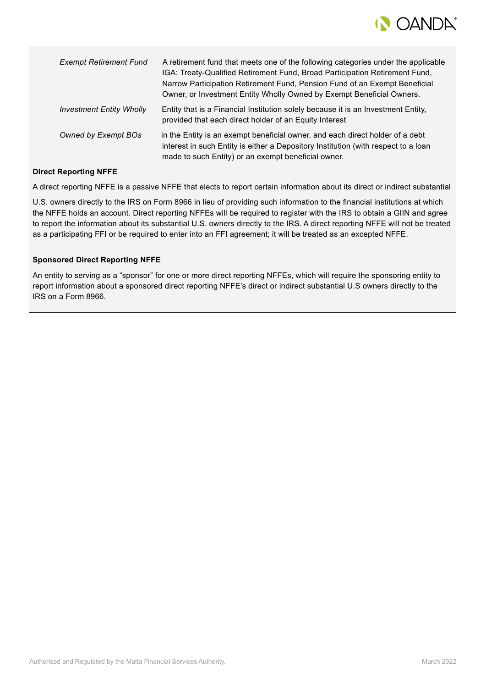

| <b>Exempt Retirement Fund</b>   | A retirement fund that meets one of the following categories under the applicable<br>IGA: Treaty-Qualified Retirement Fund, Broad Participation Retirement Fund,<br>Narrow Participation Retirement Fund, Pension Fund of an Exempt Beneficial<br>Owner, or Investment Entity Wholly Owned by Exempt Beneficial Owners. |
|---------------------------------|-------------------------------------------------------------------------------------------------------------------------------------------------------------------------------------------------------------------------------------------------------------------------------------------------------------------------|
| <b>Investment Entity Wholly</b> | Entity that is a Financial Institution solely because it is an Investment Entity,<br>provided that each direct holder of an Equity Interest                                                                                                                                                                             |
| Owned by Exempt BOs             | in the Entity is an exempt beneficial owner, and each direct holder of a debt<br>interest in such Entity is either a Depository Institution (with respect to a loan<br>made to such Entity) or an exempt beneficial owner.                                                                                              |

#### **Direct Reporting NFFE**

A direct reporting NFFE is a passive NFFE that elects to report certain information about its direct or indirect substantial

U.S. owners directly to the IRS on Form 8966 in lieu of providing such information to the financial institutions at which the NFFE holds an account. Direct reporting NFFEs will be required to register with the IRS to obtain a GIIN and agree to report the information about its substantial U.S. owners directly to the IRS. A direct reporting NFFE will not be treated as a participating FFI or be required to enter into an FFI agreement; it will be treated as an excepted NFFE.

#### **Sponsored Direct Reporting NFFE**

An entity to serving as a "sponsor" for one or more direct reporting NFFEs, which will require the sponsoring entity to report information about a sponsored direct reporting NFFE's direct or indirect substantial U.S owners directly to the IRS on a Form 8966.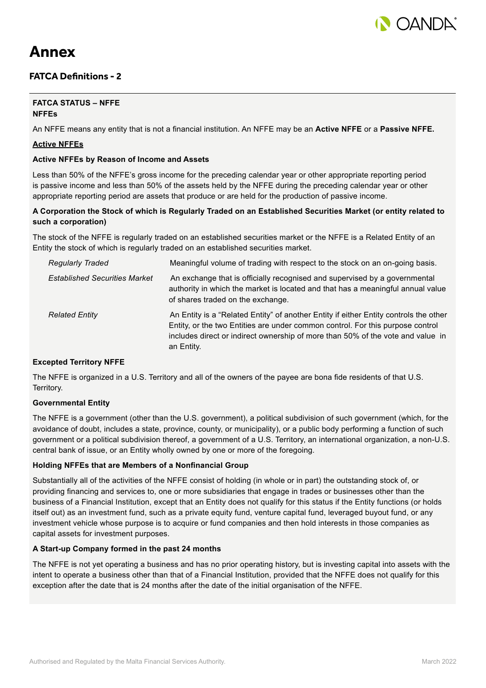

# **Annex**

### **FATCA Definitions - 2**

#### **FATCA STATUS – NFFE NFFEs**

An NFFE means any entity that is not a financial institution. An NFFE may be an **Active NFFE** or a **Passive NFFE.**

#### **Active NFFEs**

#### **Active NFFEs by Reason of Income and Assets**

Less than 50% of the NFFE's gross income for the preceding calendar year or other appropriate reporting period is passive income and less than 50% of the assets held by the NFFE during the preceding calendar year or other appropriate reporting period are assets that produce or are held for the production of passive income.

#### **A Corporation the Stock of which is Regularly Traded on an Established Securities Market (or entity related to such a corporation)**

The stock of the NFFE is regularly traded on an established securities market or the NFFE is a Related Entity of an Entity the stock of which is regularly traded on an established securities market.

| <b>Regularly Traded</b>              | Meaningful volume of trading with respect to the stock on an on-going basis.                                                                                                                                                                                             |
|--------------------------------------|--------------------------------------------------------------------------------------------------------------------------------------------------------------------------------------------------------------------------------------------------------------------------|
| <b>Established Securities Market</b> | An exchange that is officially recognised and supervised by a governmental<br>authority in which the market is located and that has a meaningful annual value<br>of shares traded on the exchange.                                                                       |
| <b>Related Entity</b>                | An Entity is a "Related Entity" of another Entity if either Entity controls the other<br>Entity, or the two Entities are under common control. For this purpose control<br>includes direct or indirect ownership of more than 50% of the vote and value in<br>an Entity. |

#### **Excepted Territory NFFE**

The NFFE is organized in a U.S. Territory and all of the owners of the payee are bona fide residents of that U.S. Territory.

#### **Governmental Entity**

The NFFE is a government (other than the U.S. government), a political subdivision of such government (which, for the avoidance of doubt, includes a state, province, county, or municipality), or a public body performing a function of such government or a political subdivision thereof, a government of a U.S. Territory, an international organization, a non-U.S. central bank of issue, or an Entity wholly owned by one or more of the foregoing.

#### **Holding NFFEs that are Members of a Nonfinancial Group**

Substantially all of the activities of the NFFE consist of holding (in whole or in part) the outstanding stock of, or providing financing and services to, one or more subsidiaries that engage in trades or businesses other than the business of a Financial Institution, except that an Entity does not qualify for this status if the Entity functions (or holds itself out) as an investment fund, such as a private equity fund, venture capital fund, leveraged buyout fund, or any investment vehicle whose purpose is to acquire or fund companies and then hold interests in those companies as capital assets for investment purposes.

#### **A Start-up Company formed in the past 24 months**

The NFFE is not yet operating a business and has no prior operating history, but is investing capital into assets with the intent to operate a business other than that of a Financial Institution, provided that the NFFE does not qualify for this exception after the date that is 24 months after the date of the initial organisation of the NFFE.